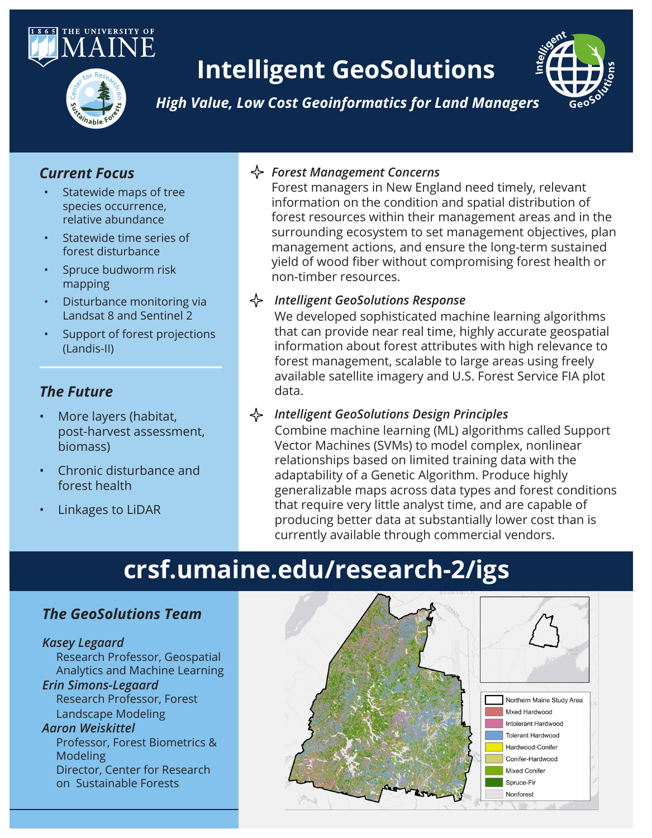

# **Intelligent GeoSolutions**



*High Value, Low Cost Geoinformatics for Land Managers*

# *Current Focus*

- Statewide maps of tree species occurrence, relative abundance
- Statewide time series of forest disturbance
- Spruce budworm risk mapping
- Disturbance monitoring via Landsat 8 and Sentinel 2
- Support of forest projections (Landis-II)

## *The Future*

- More layers (habitat, post-harvest assessment, biomass)
- Chronic disturbance and forest health
- Linkages to LiDAR

### *Forest Management Concerns*

Forest managers in New England need timely, relevant information on the condition and spatial distribution of forest resources within their management areas and in the surrounding ecosystem to set management objectives, plan management actions, and ensure the long-term sustained yield of wood fiber without compromising forest health or non-timber resources.

#### *Intelligent GeoSolutions Response*

We developed sophisticated machine learning algorithms that can provide near real time, highly accurate geospatial information about forest attributes with high relevance to forest management, scalable to large areas using freely available satellite imagery and U.S. Forest Service FIA plot data.

#### *Intelligent GeoSolutions Design Principles*

Combine machine learning (ML) algorithms called Support Vector Machines (SVMs) to model complex, nonlinear relationships based on limited training data with the adaptability of a Genetic Algorithm. Produce highly generalizable maps across data types and forest conditions that require very little analyst time, and are capable of producing better data at substantially lower cost than is currently available through commercial vendors.

# **crsf.umaine.edu/research-2/igs**

## *The GeoSolutions Team*

*Kasey Legaard*

Research Professor, Geospatial Analytics and Machine Learning

*Erin Simons-Legaard* Research Professor, Forest Landscape Modeling *Aaron Weiskittel* Professor, Forest Biometrics & Modeling Director, Center for Research

on Sustainable Forests